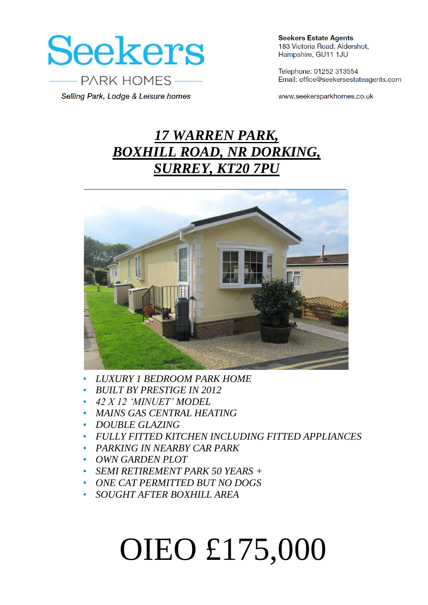

**Seekers Estate Agents** 183 Victoria Road, Aldershot, Hampshire, GU11 1JU

Telephone: 01252 313554 Email: office@seekersestateagents.com

www.seekersparkhomes.co.uk

## *17 WARREN PARK, BOXHILL ROAD, NR DORKING, SURREY, KT20 7PU*



- *• LUXURY 1 BEDROOM PARK HOME*
- *• BUILT BY PRESTIGE IN 2012*
- *• 42 X 12 'MINUET' MODEL*
- *• MAINS GAS CENTRAL HEATING*
- *• DOUBLE GLAZING*
- *• FULLY FITTED KITCHEN INCLUDING FITTED APPLIANCES*
- *• PARKING IN NEARBY CAR PARK*
- *• OWN GARDEN PLOT*
- *• SEMI RETIREMENT PARK 50 YEARS +*
- *• ONE CAT PERMITTED BUT NO DOGS*
- *• SOUGHT AFTER BOXHILL AREA*

# OIEO £175,000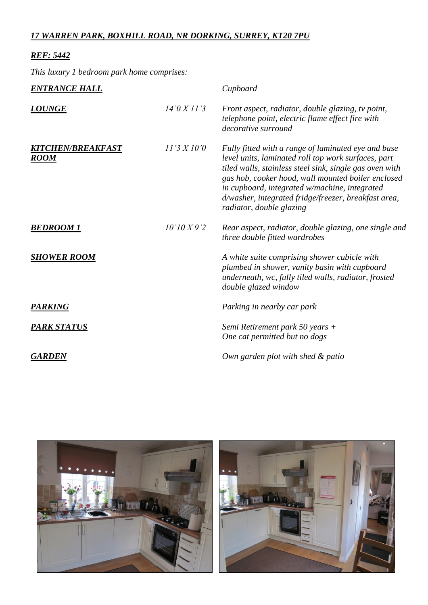#### *17 WARREN PARK, BOXHILL ROAD, NR DORKING, SURREY, KT20 7PU*

### *REF: 5442*

*This luxury 1 bedroom park home comprises:*

| <u>ENTRANCE HALL</u>                    |             | Cupboard                                                                                                                                                                                                                                                                                                                                                         |
|-----------------------------------------|-------------|------------------------------------------------------------------------------------------------------------------------------------------------------------------------------------------------------------------------------------------------------------------------------------------------------------------------------------------------------------------|
| <b>LOUNGE</b>                           | 14'0 X 11'3 | Front aspect, radiator, double glazing, tv point,<br>telephone point, electric flame effect fire with<br>decorative surround                                                                                                                                                                                                                                     |
| <b>KITCHEN/BREAKFAST</b><br><b>ROOM</b> | 11'3 X 10'0 | Fully fitted with a range of laminated eye and base<br>level units, laminated roll top work surfaces, part<br>tiled walls, stainless steel sink, single gas oven with<br>gas hob, cooker hood, wall mounted boiler enclosed<br>in cupboard, integrated w/machine, integrated<br>d/washer, integrated fridge/freezer, breakfast area,<br>radiator, double glazing |
| <b>BEDROOM1</b>                         | 10'10X9'2   | Rear aspect, radiator, double glazing, one single and<br>three double fitted wardrobes                                                                                                                                                                                                                                                                           |
| <b>SHOWER ROOM</b>                      |             | A white suite comprising shower cubicle with<br>plumbed in shower, vanity basin with cupboard<br>underneath, wc, fully tiled walls, radiator, frosted<br>double glazed window                                                                                                                                                                                    |
| <b>PARKING</b>                          |             | Parking in nearby car park                                                                                                                                                                                                                                                                                                                                       |
| <b>PARK STATUS</b>                      |             | Semi Retirement park 50 years +<br>One cat permitted but no dogs                                                                                                                                                                                                                                                                                                 |
| <i><b>GARDEN</b></i>                    |             | Own garden plot with shed & patio                                                                                                                                                                                                                                                                                                                                |



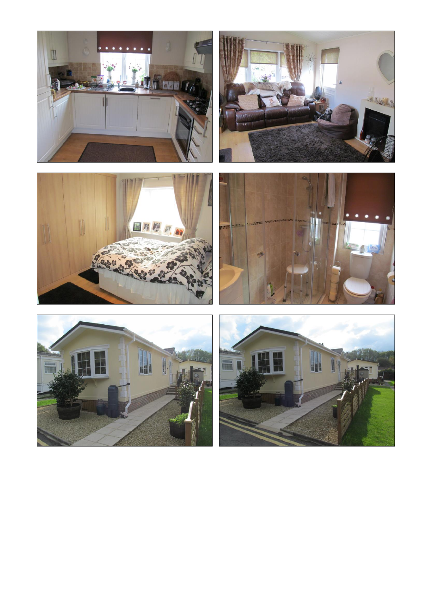









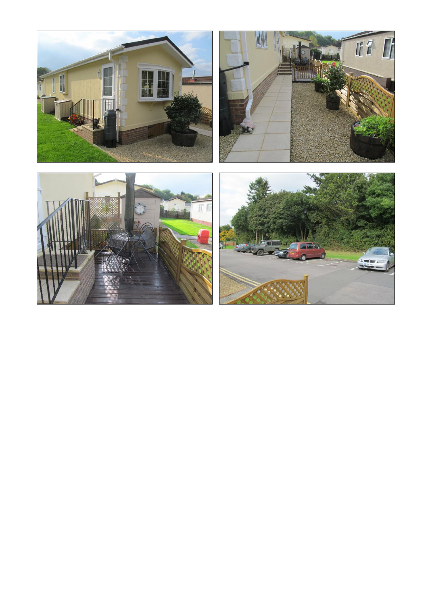